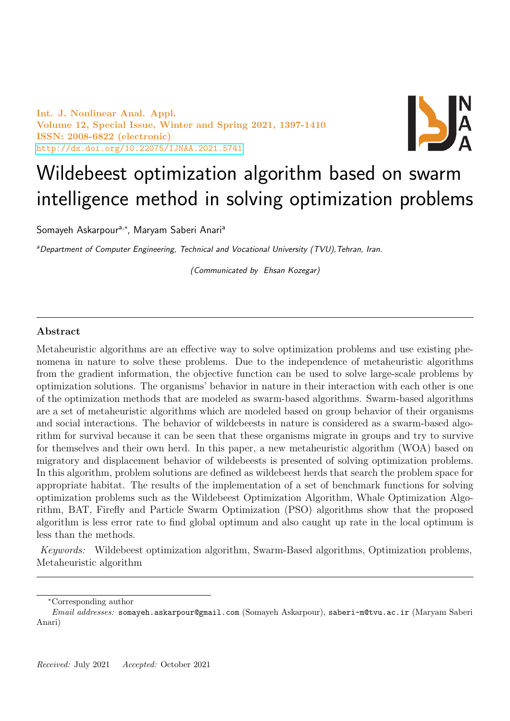Int. J. Nonlinear Anal. Appl. Volume 12, Special Issue, Winter and Spring 2021, 1397-1410 ISSN: 2008-6822 (electronic) <http://dx.doi.org/10.22075/IJNAA.2021.5741>



# Wildebeest optimization algorithm based on swarm intelligence method in solving optimization problems

Somayeh Askarpour<sup>a,∗</sup>, Maryam Saberi Anari<sup>a</sup>

aDepartment of Computer Engineering, Technical and Vocational University (TVU), Tehran, Iran.

(Communicated by Ehsan Kozegar)

# Abstract

Metaheuristic algorithms are an effective way to solve optimization problems and use existing phenomena in nature to solve these problems. Due to the independence of metaheuristic algorithms from the gradient information, the objective function can be used to solve large-scale problems by optimization solutions. The organisms' behavior in nature in their interaction with each other is one of the optimization methods that are modeled as swarm-based algorithms. Swarm-based algorithms are a set of metaheuristic algorithms which are modeled based on group behavior of their organisms and social interactions. The behavior of wildebeests in nature is considered as a swarm-based algorithm for survival because it can be seen that these organisms migrate in groups and try to survive for themselves and their own herd. In this paper, a new metaheuristic algorithm (WOA) based on migratory and displacement behavior of wildebeests is presented of solving optimization problems. In this algorithm, problem solutions are defined as wildebeest herds that search the problem space for appropriate habitat. The results of the implementation of a set of benchmark functions for solving optimization problems such as the Wildebeest Optimization Algorithm, Whale Optimization Algorithm, BAT, Firefly and Particle Swarm Optimization (PSO) algorithms show that the proposed algorithm is less error rate to find global optimum and also caught up rate in the local optimum is less than the methods.

Keywords: Wildebeest optimization algorithm, Swarm-Based algorithms, Optimization problems, Metaheuristic algorithm

<sup>∗</sup>Corresponding author

Email addresses: somayeh.askarpour@gmail.com (Somayeh Askarpour), saberi-m@tvu.ac.ir (Maryam Saberi Anari)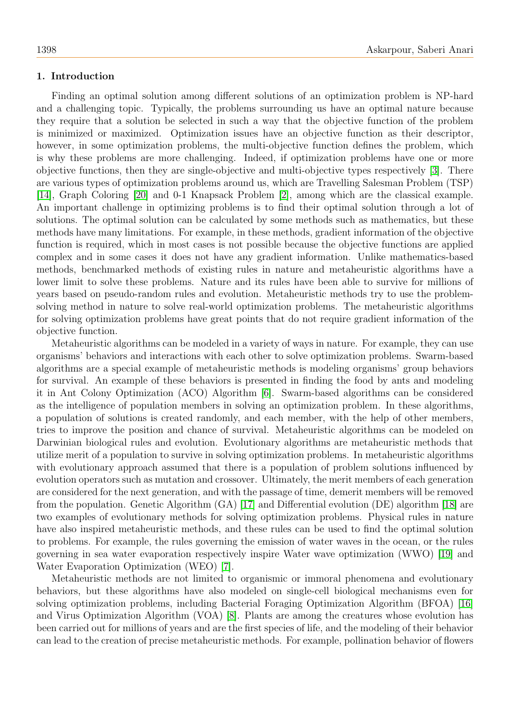## 1. Introduction

Finding an optimal solution among different solutions of an optimization problem is NP-hard and a challenging topic. Typically, the problems surrounding us have an optimal nature because they require that a solution be selected in such a way that the objective function of the problem is minimized or maximized. Optimization issues have an objective function as their descriptor, however, in some optimization problems, the multi-objective function defines the problem, which is why these problems are more challenging. Indeed, if optimization problems have one or more objective functions, then they are single-objective and multi-objective types respectively [\[3\]](#page-12-0). There are various types of optimization problems around us, which are Travelling Salesman Problem (TSP) [\[14\]](#page-13-0), Graph Coloring [\[20\]](#page-13-1) and 0-1 Knapsack Problem [\[2\]](#page-12-1), among which are the classical example. An important challenge in optimizing problems is to find their optimal solution through a lot of solutions. The optimal solution can be calculated by some methods such as mathematics, but these methods have many limitations. For example, in these methods, gradient information of the objective function is required, which in most cases is not possible because the objective functions are applied complex and in some cases it does not have any gradient information. Unlike mathematics-based methods, benchmarked methods of existing rules in nature and metaheuristic algorithms have a lower limit to solve these problems. Nature and its rules have been able to survive for millions of years based on pseudo-random rules and evolution. Metaheuristic methods try to use the problemsolving method in nature to solve real-world optimization problems. The metaheuristic algorithms for solving optimization problems have great points that do not require gradient information of the objective function.

Metaheuristic algorithms can be modeled in a variety of ways in nature. For example, they can use organisms' behaviors and interactions with each other to solve optimization problems. Swarm-based algorithms are a special example of metaheuristic methods is modeling organisms' group behaviors for survival. An example of these behaviors is presented in finding the food by ants and modeling it in Ant Colony Optimization (ACO) Algorithm [\[6\]](#page-13-2). Swarm-based algorithms can be considered as the intelligence of population members in solving an optimization problem. In these algorithms, a population of solutions is created randomly, and each member, with the help of other members, tries to improve the position and chance of survival. Metaheuristic algorithms can be modeled on Darwinian biological rules and evolution. Evolutionary algorithms are metaheuristic methods that utilize merit of a population to survive in solving optimization problems. In metaheuristic algorithms with evolutionary approach assumed that there is a population of problem solutions influenced by evolution operators such as mutation and crossover. Ultimately, the merit members of each generation are considered for the next generation, and with the passage of time, demerit members will be removed from the population. Genetic Algorithm (GA) [\[17\]](#page-13-3) and Differential evolution (DE) algorithm [\[18\]](#page-13-4) are two examples of evolutionary methods for solving optimization problems. Physical rules in nature have also inspired metaheuristic methods, and these rules can be used to find the optimal solution to problems. For example, the rules governing the emission of water waves in the ocean, or the rules governing in sea water evaporation respectively inspire Water wave optimization (WWO) [\[19\]](#page-13-5) and Water Evaporation Optimization (WEO) [\[7\]](#page-13-6).

Metaheuristic methods are not limited to organismic or immoral phenomena and evolutionary behaviors, but these algorithms have also modeled on single-cell biological mechanisms even for solving optimization problems, including Bacterial Foraging Optimization Algorithm (BFOA) [\[16\]](#page-13-7) and Virus Optimization Algorithm (VOA) [\[8\]](#page-13-8). Plants are among the creatures whose evolution has been carried out for millions of years and are the first species of life, and the modeling of their behavior can lead to the creation of precise metaheuristic methods. For example, pollination behavior of flowers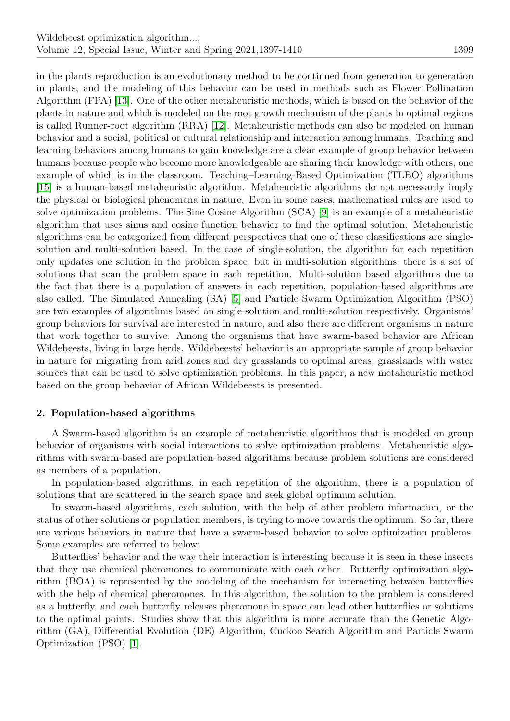in the plants reproduction is an evolutionary method to be continued from generation to generation in plants, and the modeling of this behavior can be used in methods such as Flower Pollination Algorithm (FPA) [\[13\]](#page-13-9). One of the other metaheuristic methods, which is based on the behavior of the plants in nature and which is modeled on the root growth mechanism of the plants in optimal regions is called Runner-root algorithm (RRA) [\[12\]](#page-13-10). Metaheuristic methods can also be modeled on human behavior and a social, political or cultural relationship and interaction among humans. Teaching and learning behaviors among humans to gain knowledge are a clear example of group behavior between humans because people who become more knowledgeable are sharing their knowledge with others, one example of which is in the classroom. Teaching–Learning-Based Optimization (TLBO) algorithms [\[15\]](#page-13-11) is a human-based metaheuristic algorithm. Metaheuristic algorithms do not necessarily imply the physical or biological phenomena in nature. Even in some cases, mathematical rules are used to solve optimization problems. The Sine Cosine Algorithm (SCA) [\[9\]](#page-13-12) is an example of a metaheuristic algorithm that uses sinus and cosine function behavior to find the optimal solution. Metaheuristic algorithms can be categorized from different perspectives that one of these classifications are singlesolution and multi-solution based. In the case of single-solution, the algorithm for each repetition only updates one solution in the problem space, but in multi-solution algorithms, there is a set of solutions that scan the problem space in each repetition. Multi-solution based algorithms due to the fact that there is a population of answers in each repetition, population-based algorithms are also called. The Simulated Annealing (SA) [\[5\]](#page-12-2) and Particle Swarm Optimization Algorithm (PSO) are two examples of algorithms based on single-solution and multi-solution respectively. Organisms' group behaviors for survival are interested in nature, and also there are different organisms in nature that work together to survive. Among the organisms that have swarm-based behavior are African Wildebeests, living in large herds. Wildebeests' behavior is an appropriate sample of group behavior in nature for migrating from arid zones and dry grasslands to optimal areas, grasslands with water sources that can be used to solve optimization problems. In this paper, a new metaheuristic method based on the group behavior of African Wildebeests is presented.

# 2. Population-based algorithms

A Swarm-based algorithm is an example of metaheuristic algorithms that is modeled on group behavior of organisms with social interactions to solve optimization problems. Metaheuristic algorithms with swarm-based are population-based algorithms because problem solutions are considered as members of a population.

In population-based algorithms, in each repetition of the algorithm, there is a population of solutions that are scattered in the search space and seek global optimum solution.

In swarm-based algorithms, each solution, with the help of other problem information, or the status of other solutions or population members, is trying to move towards the optimum. So far, there are various behaviors in nature that have a swarm-based behavior to solve optimization problems. Some examples are referred to below:

Butterflies' behavior and the way their interaction is interesting because it is seen in these insects that they use chemical pheromones to communicate with each other. Butterfly optimization algorithm (BOA) is represented by the modeling of the mechanism for interacting between butterflies with the help of chemical pheromones. In this algorithm, the solution to the problem is considered as a butterfly, and each butterfly releases pheromone in space can lead other butterflies or solutions to the optimal points. Studies show that this algorithm is more accurate than the Genetic Algorithm (GA), Differential Evolution (DE) Algorithm, Cuckoo Search Algorithm and Particle Swarm Optimization (PSO) [\[1\]](#page-12-3).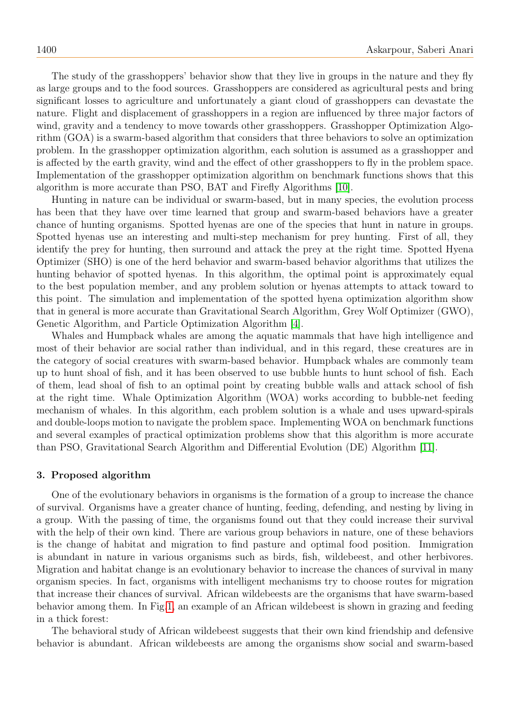The study of the grasshoppers' behavior show that they live in groups in the nature and they fly as large groups and to the food sources. Grasshoppers are considered as agricultural pests and bring significant losses to agriculture and unfortunately a giant cloud of grasshoppers can devastate the nature. Flight and displacement of grasshoppers in a region are influenced by three major factors of wind, gravity and a tendency to move towards other grasshoppers. Grasshopper Optimization Algorithm (GOA) is a swarm-based algorithm that considers that three behaviors to solve an optimization problem. In the grasshopper optimization algorithm, each solution is assumed as a grasshopper and is affected by the earth gravity, wind and the effect of other grasshoppers to fly in the problem space. Implementation of the grasshopper optimization algorithm on benchmark functions shows that this algorithm is more accurate than PSO, BAT and Firefly Algorithms [\[10\]](#page-13-13).

Hunting in nature can be individual or swarm-based, but in many species, the evolution process has been that they have over time learned that group and swarm-based behaviors have a greater chance of hunting organisms. Spotted hyenas are one of the species that hunt in nature in groups. Spotted hyenas use an interesting and multi-step mechanism for prey hunting. First of all, they identify the prey for hunting, then surround and attack the prey at the right time. Spotted Hyena Optimizer (SHO) is one of the herd behavior and swarm-based behavior algorithms that utilizes the hunting behavior of spotted hyenas. In this algorithm, the optimal point is approximately equal to the best population member, and any problem solution or hyenas attempts to attack toward to this point. The simulation and implementation of the spotted hyena optimization algorithm show that in general is more accurate than Gravitational Search Algorithm, Grey Wolf Optimizer (GWO), Genetic Algorithm, and Particle Optimization Algorithm [\[4\]](#page-12-4).

Whales and Humpback whales are among the aquatic mammals that have high intelligence and most of their behavior are social rather than individual, and in this regard, these creatures are in the category of social creatures with swarm-based behavior. Humpback whales are commonly team up to hunt shoal of fish, and it has been observed to use bubble hunts to hunt school of fish. Each of them, lead shoal of fish to an optimal point by creating bubble walls and attack school of fish at the right time. Whale Optimization Algorithm (WOA) works according to bubble-net feeding mechanism of whales. In this algorithm, each problem solution is a whale and uses upward-spirals and double-loops motion to navigate the problem space. Implementing WOA on benchmark functions and several examples of practical optimization problems show that this algorithm is more accurate than PSO, Gravitational Search Algorithm and Differential Evolution (DE) Algorithm [\[11\]](#page-13-14).

#### 3. Proposed algorithm

One of the evolutionary behaviors in organisms is the formation of a group to increase the chance of survival. Organisms have a greater chance of hunting, feeding, defending, and nesting by living in a group. With the passing of time, the organisms found out that they could increase their survival with the help of their own kind. There are various group behaviors in nature, one of these behaviors is the change of habitat and migration to find pasture and optimal food position. Immigration is abundant in nature in various organisms such as birds, fish, wildebeest, and other herbivores. Migration and habitat change is an evolutionary behavior to increase the chances of survival in many organism species. In fact, organisms with intelligent mechanisms try to choose routes for migration that increase their chances of survival. African wildebeests are the organisms that have swarm-based behavior among them. In Fig[.1,](#page-4-0) an example of an African wildebeest is shown in grazing and feeding in a thick forest:

The behavioral study of African wildebeest suggests that their own kind friendship and defensive behavior is abundant. African wildebeests are among the organisms show social and swarm-based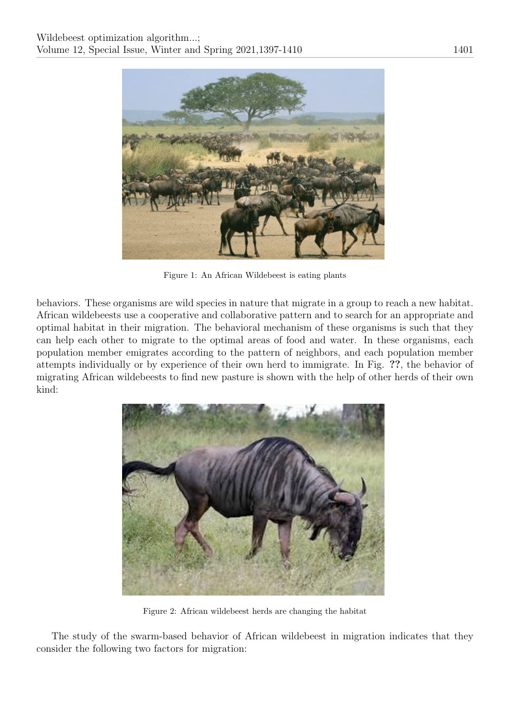

Figure 1: An African Wildebeest is eating plants

behaviors. These organisms are wild species in nature that migrate in a group to reach a new habitat. African wildebeests use a cooperative and collaborative pattern and to search for an appropriate and optimal habitat in their migration. The behavioral mechanism of these organisms is such that they can help each other to migrate to the optimal areas of food and water. In these organisms, each population member emigrates according to the pattern of neighbors, and each population member attempts individually or by experience of their own herd to immigrate. In Fig. ??, the behavior of migrating African wildebeests to find new pasture is shown with the help of other herds of their own kind:

<span id="page-4-0"></span>

Figure 2: African wildebeest herds are changing the habitat

The study of the swarm-based behavior of African wildebeest in migration indicates that they consider the following two factors for migration: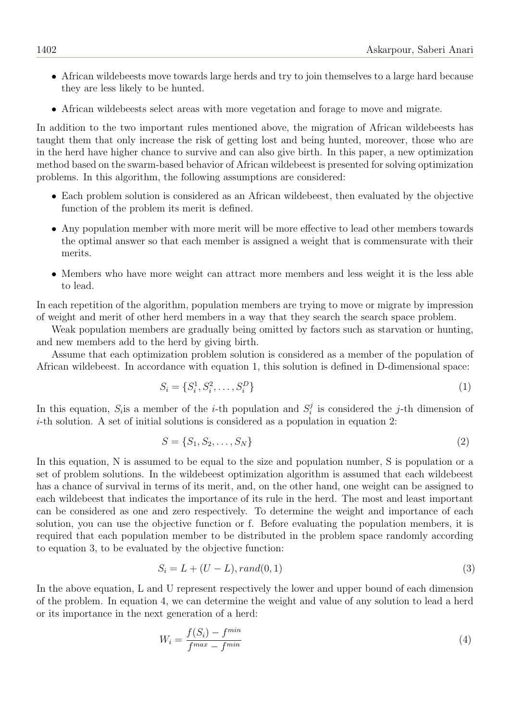- African wildebeests move towards large herds and try to join themselves to a large hard because they are less likely to be hunted.
- African wildebeests select areas with more vegetation and forage to move and migrate.

In addition to the two important rules mentioned above, the migration of African wildebeests has taught them that only increase the risk of getting lost and being hunted, moreover, those who are in the herd have higher chance to survive and can also give birth. In this paper, a new optimization method based on the swarm-based behavior of African wildebeest is presented for solving optimization problems. In this algorithm, the following assumptions are considered:

- Each problem solution is considered as an African wildebeest, then evaluated by the objective function of the problem its merit is defined.
- Any population member with more merit will be more effective to lead other members towards the optimal answer so that each member is assigned a weight that is commensurate with their merits.
- Members who have more weight can attract more members and less weight it is the less able to lead.

In each repetition of the algorithm, population members are trying to move or migrate by impression of weight and merit of other herd members in a way that they search the search space problem.

Weak population members are gradually being omitted by factors such as starvation or hunting, and new members add to the herd by giving birth.

Assume that each optimization problem solution is considered as a member of the population of African wildebeest. In accordance with equation 1, this solution is defined in D-dimensional space:

$$
S_i = \{S_i^1, S_i^2, \dots, S_i^D\}
$$
 (1)

In this equation,  $S_i$  is a member of the *i*-th population and  $S_i^j$  $i<sub>i</sub>$  is considered the *j*-th dimension of i-th solution. A set of initial solutions is considered as a population in equation 2:

$$
S = \{S_1, S_2, \dots, S_N\}
$$
 (2)

In this equation, N is assumed to be equal to the size and population number, S is population or a set of problem solutions. In the wildebeest optimization algorithm is assumed that each wildebeest has a chance of survival in terms of its merit, and, on the other hand, one weight can be assigned to each wildebeest that indicates the importance of its rule in the herd. The most and least important can be considered as one and zero respectively. To determine the weight and importance of each solution, you can use the objective function or f. Before evaluating the population members, it is required that each population member to be distributed in the problem space randomly according to equation 3, to be evaluated by the objective function:

$$
S_i = L + (U - L), rand(0, 1)
$$
\n(3)

In the above equation, L and U represent respectively the lower and upper bound of each dimension of the problem. In equation 4, we can determine the weight and value of any solution to lead a herd or its importance in the next generation of a herd:

$$
W_i = \frac{f(S_i) - f^{min}}{f^{max} - f^{min}}\tag{4}
$$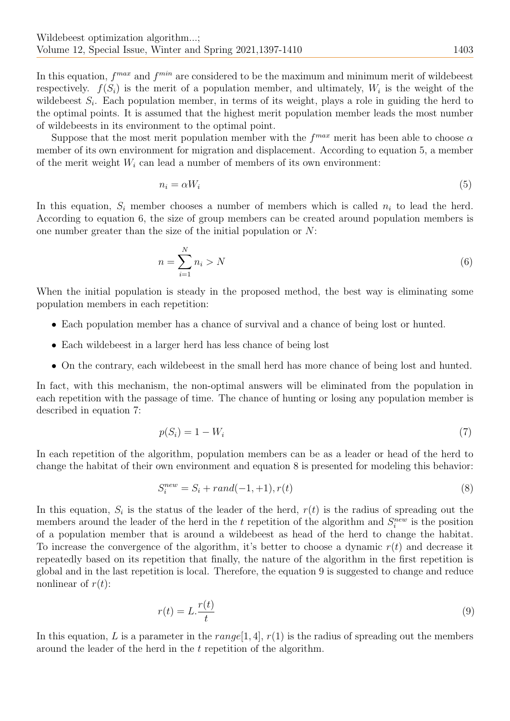In this equation,  $f^{max}$  and  $f^{min}$  are considered to be the maximum and minimum merit of wildebeest respectively.  $f(S_i)$  is the merit of a population member, and ultimately,  $W_i$  is the weight of the wildebeest  $S_i$ . Each population member, in terms of its weight, plays a role in guiding the herd to the optimal points. It is assumed that the highest merit population member leads the most number of wildebeests in its environment to the optimal point.

Suppose that the most merit population member with the  $f^{max}$  merit has been able to choose  $\alpha$ member of its own environment for migration and displacement. According to equation 5, a member of the merit weight  $W_i$  can lead a number of members of its own environment:

$$
n_i = \alpha W_i \tag{5}
$$

In this equation,  $S_i$  member chooses a number of members which is called  $n_i$  to lead the herd. According to equation 6, the size of group members can be created around population members is one number greater than the size of the initial population or N:

$$
n = \sum_{i=1}^{N} n_i > N \tag{6}
$$

When the initial population is steady in the proposed method, the best way is eliminating some population members in each repetition:

- Each population member has a chance of survival and a chance of being lost or hunted.
- Each wildebeest in a larger herd has less chance of being lost
- On the contrary, each wildebeest in the small herd has more chance of being lost and hunted.

In fact, with this mechanism, the non-optimal answers will be eliminated from the population in each repetition with the passage of time. The chance of hunting or losing any population member is described in equation 7:

$$
p(S_i) = 1 - W_i \tag{7}
$$

In each repetition of the algorithm, population members can be as a leader or head of the herd to change the habitat of their own environment and equation 8 is presented for modeling this behavior:

$$
S_i^{new} = S_i + rand(-1, +1), r(t)
$$
\n(8)

In this equation,  $S_i$  is the status of the leader of the herd,  $r(t)$  is the radius of spreading out the members around the leader of the herd in the t repetition of the algorithm and  $S_i^{new}$  is the position of a population member that is around a wildebeest as head of the herd to change the habitat. To increase the convergence of the algorithm, it's better to choose a dynamic  $r(t)$  and decrease it repeatedly based on its repetition that finally, the nature of the algorithm in the first repetition is global and in the last repetition is local. Therefore, the equation 9 is suggested to change and reduce nonlinear of  $r(t)$ :

$$
r(t) = L \cdot \frac{r(t)}{t} \tag{9}
$$

In this equation, L is a parameter in the  $range[1, 4]$ ,  $r(1)$  is the radius of spreading out the members around the leader of the herd in the t repetition of the algorithm.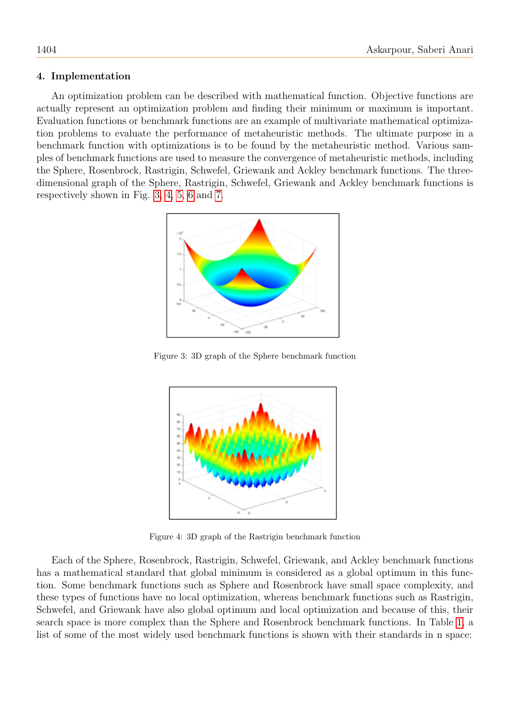## 4. Implementation

An optimization problem can be described with mathematical function. Objective functions are actually represent an optimization problem and finding their minimum or maximum is important. Evaluation functions or benchmark functions are an example of multivariate mathematical optimization problems to evaluate the performance of metaheuristic methods. The ultimate purpose in a benchmark function with optimizations is to be found by the metaheuristic method. Various samples of benchmark functions are used to measure the convergence of metaheuristic methods, including the Sphere, Rosenbrock, Rastrigin, Schwefel, Griewank and Ackley benchmark functions. The threedimensional graph of the Sphere, Rastrigin, Schwefel, Griewank and Ackley benchmark functions is respectively shown in Fig. [3,](#page-7-0) [4,](#page-7-1) [5,](#page-8-0) [6](#page-8-1) and [7.](#page-8-2)



Figure 3: 3D graph of the Sphere benchmark function

<span id="page-7-0"></span>

<span id="page-7-1"></span>Figure 4: 3D graph of the Rastrigin benchmark function

Each of the Sphere, Rosenbrock, Rastrigin, Schwefel, Griewank, and Ackley benchmark functions has a mathematical standard that global minimum is considered as a global optimum in this function. Some benchmark functions such as Sphere and Rosenbrock have small space complexity, and these types of functions have no local optimization, whereas benchmark functions such as Rastrigin, Schwefel, and Griewank have also global optimum and local optimization and because of this, their search space is more complex than the Sphere and Rosenbrock benchmark functions. In Table [1,](#page-9-0) a list of some of the most widely used benchmark functions is shown with their standards in n space: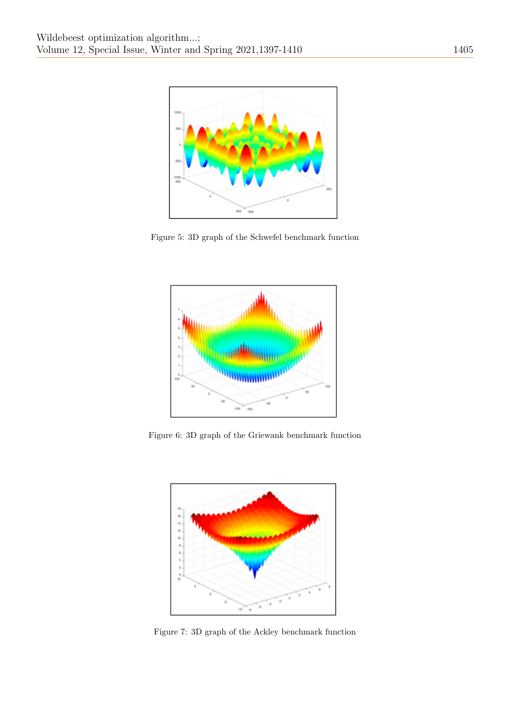

Figure 5: 3D graph of the Schwefel benchmark function

<span id="page-8-0"></span>

Figure 6: 3D graph of the Griewank benchmark function

<span id="page-8-1"></span>

<span id="page-8-2"></span>Figure 7: 3D graph of the Ackley benchmark function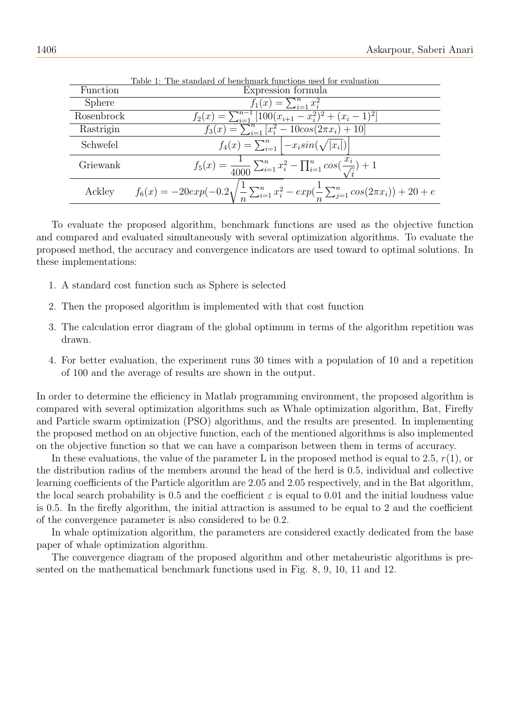<span id="page-9-0"></span>

|               | rapie 1: The standard of benchmark functions used for evaluation                                                 |
|---------------|------------------------------------------------------------------------------------------------------------------|
| Function      | Expression formula                                                                                               |
| <b>Sphere</b> | $f_1(x) = \sum_{i=1}^n x_i^2$                                                                                    |
| Rosenbrock    | $f_2(x) = \sum_{i=1}^{n-1} [100(x_{i+1} - x_i^2)^2 + (x_i - 1)^2]$                                               |
| Rastrigin     | $f_3(x) = \sum_{i=1}^n [x_i^2 - 10cos(2\pi x_i) + 10]$                                                           |
| Schwefel      | $f_4(x) = \sum_{i=1}^n   -x_i sin(\sqrt{ x_i }) $                                                                |
| Griewank      | $f_5(x) = \frac{1}{4000} \sum_{i=1}^n x_i^2 - \prod_{i=1}^n \cos(\frac{x_i}{\sqrt{i}}) + 1$                      |
| Ackley        | $f_6(x) = -20exp(-0.2\sqrt{\frac{1}{n}\sum_{i=1}^n x_i^2} - exp(\frac{1}{n}\sum_{j=1}^n cos(2\pi x_i)) + 20 + e$ |

Table 1: The standard of benchmark functions used for evaluation

To evaluate the proposed algorithm, benchmark functions are used as the objective function and compared and evaluated simultaneously with several optimization algorithms. To evaluate the proposed method, the accuracy and convergence indicators are used toward to optimal solutions. In these implementations:

- 1. A standard cost function such as Sphere is selected
- 2. Then the proposed algorithm is implemented with that cost function
- 3. The calculation error diagram of the global optimum in terms of the algorithm repetition was drawn.
- 4. For better evaluation, the experiment runs 30 times with a population of 10 and a repetition of 100 and the average of results are shown in the output.

In order to determine the efficiency in Matlab programming environment, the proposed algorithm is compared with several optimization algorithms such as Whale optimization algorithm, Bat, Firefly and Particle swarm optimization (PSO) algorithms, and the results are presented. In implementing the proposed method on an objective function, each of the mentioned algorithms is also implemented on the objective function so that we can have a comparison between them in terms of accuracy.

In these evaluations, the value of the parameter L in the proposed method is equal to 2.5,  $r(1)$ , or the distribution radius of the members around the head of the herd is 0.5, individual and collective learning coefficients of the Particle algorithm are 2.05 and 2.05 respectively, and in the Bat algorithm, the local search probability is 0.5 and the coefficient  $\varepsilon$  is equal to 0.01 and the initial loudness value is 0.5. In the firefly algorithm, the initial attraction is assumed to be equal to 2 and the coefficient of the convergence parameter is also considered to be 0.2.

In whale optimization algorithm, the parameters are considered exactly dedicated from the base paper of whale optimization algorithm.

The convergence diagram of the proposed algorithm and other metaheuristic algorithms is presented on the mathematical benchmark functions used in Fig. 8, 9, 10, 11 and 12.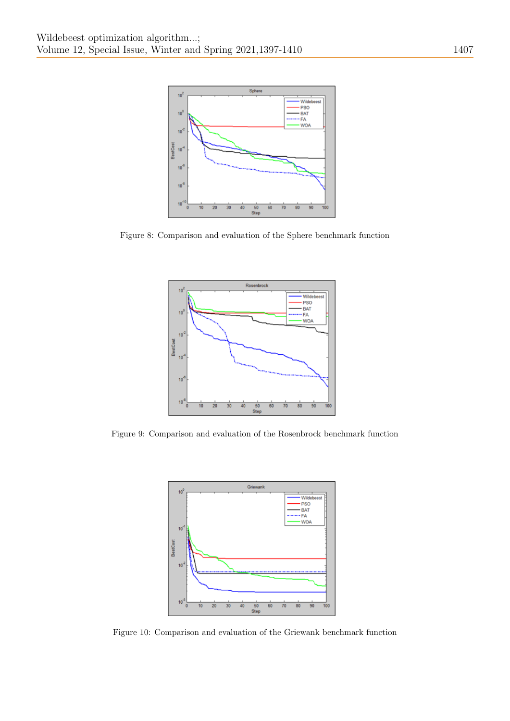

Figure 8: Comparison and evaluation of the Sphere benchmark function



Figure 9: Comparison and evaluation of the Rosenbrock benchmark function



Figure 10: Comparison and evaluation of the Griewank benchmark function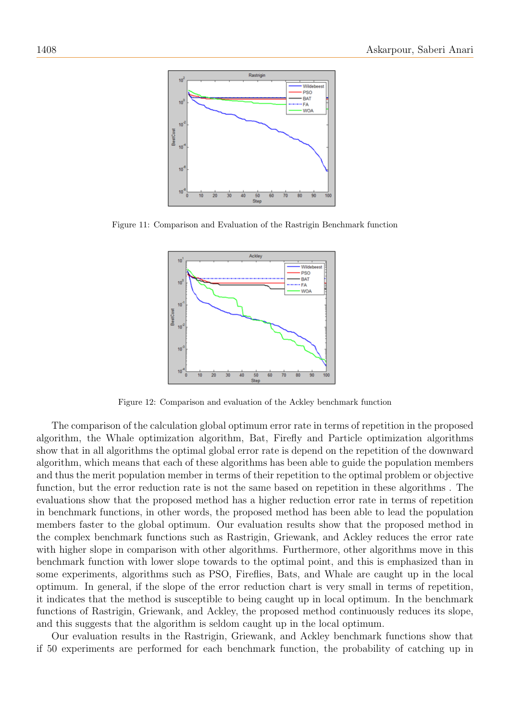

Figure 11: Comparison and Evaluation of the Rastrigin Benchmark function



Figure 12: Comparison and evaluation of the Ackley benchmark function

The comparison of the calculation global optimum error rate in terms of repetition in the proposed algorithm, the Whale optimization algorithm, Bat, Firefly and Particle optimization algorithms show that in all algorithms the optimal global error rate is depend on the repetition of the downward algorithm, which means that each of these algorithms has been able to guide the population members and thus the merit population member in terms of their repetition to the optimal problem or objective function, but the error reduction rate is not the same based on repetition in these algorithms . The evaluations show that the proposed method has a higher reduction error rate in terms of repetition in benchmark functions, in other words, the proposed method has been able to lead the population members faster to the global optimum. Our evaluation results show that the proposed method in the complex benchmark functions such as Rastrigin, Griewank, and Ackley reduces the error rate with higher slope in comparison with other algorithms. Furthermore, other algorithms move in this benchmark function with lower slope towards to the optimal point, and this is emphasized than in some experiments, algorithms such as PSO, Fireflies, Bats, and Whale are caught up in the local optimum. In general, if the slope of the error reduction chart is very small in terms of repetition, it indicates that the method is susceptible to being caught up in local optimum. In the benchmark functions of Rastrigin, Griewank, and Ackley, the proposed method continuously reduces its slope, and this suggests that the algorithm is seldom caught up in the local optimum.

Our evaluation results in the Rastrigin, Griewank, and Ackley benchmark functions show that if 50 experiments are performed for each benchmark function, the probability of catching up in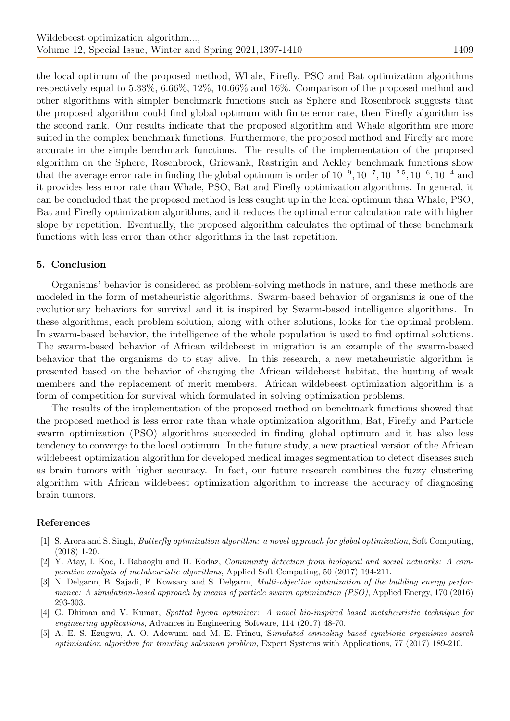the local optimum of the proposed method, Whale, Firefly, PSO and Bat optimization algorithms respectively equal to 5.33%, 6.66%, 12%, 10.66% and 16%. Comparison of the proposed method and other algorithms with simpler benchmark functions such as Sphere and Rosenbrock suggests that the proposed algorithm could find global optimum with finite error rate, then Firefly algorithm iss the second rank. Our results indicate that the proposed algorithm and Whale algorithm are more suited in the complex benchmark functions. Furthermore, the proposed method and Firefly are more accurate in the simple benchmark functions. The results of the implementation of the proposed algorithm on the Sphere, Rosenbrock, Griewank, Rastrigin and Ackley benchmark functions show that the average error rate in finding the global optimum is order of  $10^{-9}$ ,  $10^{-7}$ ,  $10^{-2.5}$ ,  $10^{-6}$ ,  $10^{-4}$  and it provides less error rate than Whale, PSO, Bat and Firefly optimization algorithms. In general, it can be concluded that the proposed method is less caught up in the local optimum than Whale, PSO, Bat and Firefly optimization algorithms, and it reduces the optimal error calculation rate with higher slope by repetition. Eventually, the proposed algorithm calculates the optimal of these benchmark functions with less error than other algorithms in the last repetition.

# 5. Conclusion

Organisms' behavior is considered as problem-solving methods in nature, and these methods are modeled in the form of metaheuristic algorithms. Swarm-based behavior of organisms is one of the evolutionary behaviors for survival and it is inspired by Swarm-based intelligence algorithms. In these algorithms, each problem solution, along with other solutions, looks for the optimal problem. In swarm-based behavior, the intelligence of the whole population is used to find optimal solutions. The swarm-based behavior of African wildebeest in migration is an example of the swarm-based behavior that the organisms do to stay alive. In this research, a new metaheuristic algorithm is presented based on the behavior of changing the African wildebeest habitat, the hunting of weak members and the replacement of merit members. African wildebeest optimization algorithm is a form of competition for survival which formulated in solving optimization problems.

The results of the implementation of the proposed method on benchmark functions showed that the proposed method is less error rate than whale optimization algorithm, Bat, Firefly and Particle swarm optimization (PSO) algorithms succeeded in finding global optimum and it has also less tendency to converge to the local optimum. In the future study, a new practical version of the African wildebeest optimization algorithm for developed medical images segmentation to detect diseases such as brain tumors with higher accuracy. In fact, our future research combines the fuzzy clustering algorithm with African wildebeest optimization algorithm to increase the accuracy of diagnosing brain tumors.

# References

- <span id="page-12-3"></span>[1] S. Arora and S. Singh, Butterfly optimization algorithm: a novel approach for global optimization, Soft Computing, (2018) 1-20.
- <span id="page-12-1"></span>[2] Y. Atay, I. Koc, I. Babaoglu and H. Kodaz, Community detection from biological and social networks: A comparative analysis of metaheuristic algorithms, Applied Soft Computing, 50 (2017) 194-211.
- <span id="page-12-0"></span>[3] N. Delgarm, B. Sajadi, F. Kowsary and S. Delgarm, Multi-objective optimization of the building energy performance: A simulation-based approach by means of particle swarm optimization (PSO), Applied Energy, 170 (2016) 293-303.
- <span id="page-12-4"></span>[4] G. Dhiman and V. Kumar, Spotted hyena optimizer: A novel bio-inspired based metaheuristic technique for engineering applications, Advances in Engineering Software, 114 (2017) 48-70.
- <span id="page-12-2"></span>[5] A. E. S. Ezugwu, A. O. Adewumi and M. E. Frîncu, Simulated annealing based symbiotic organisms search optimization algorithm for traveling salesman problem, Expert Systems with Applications, 77 (2017) 189-210.